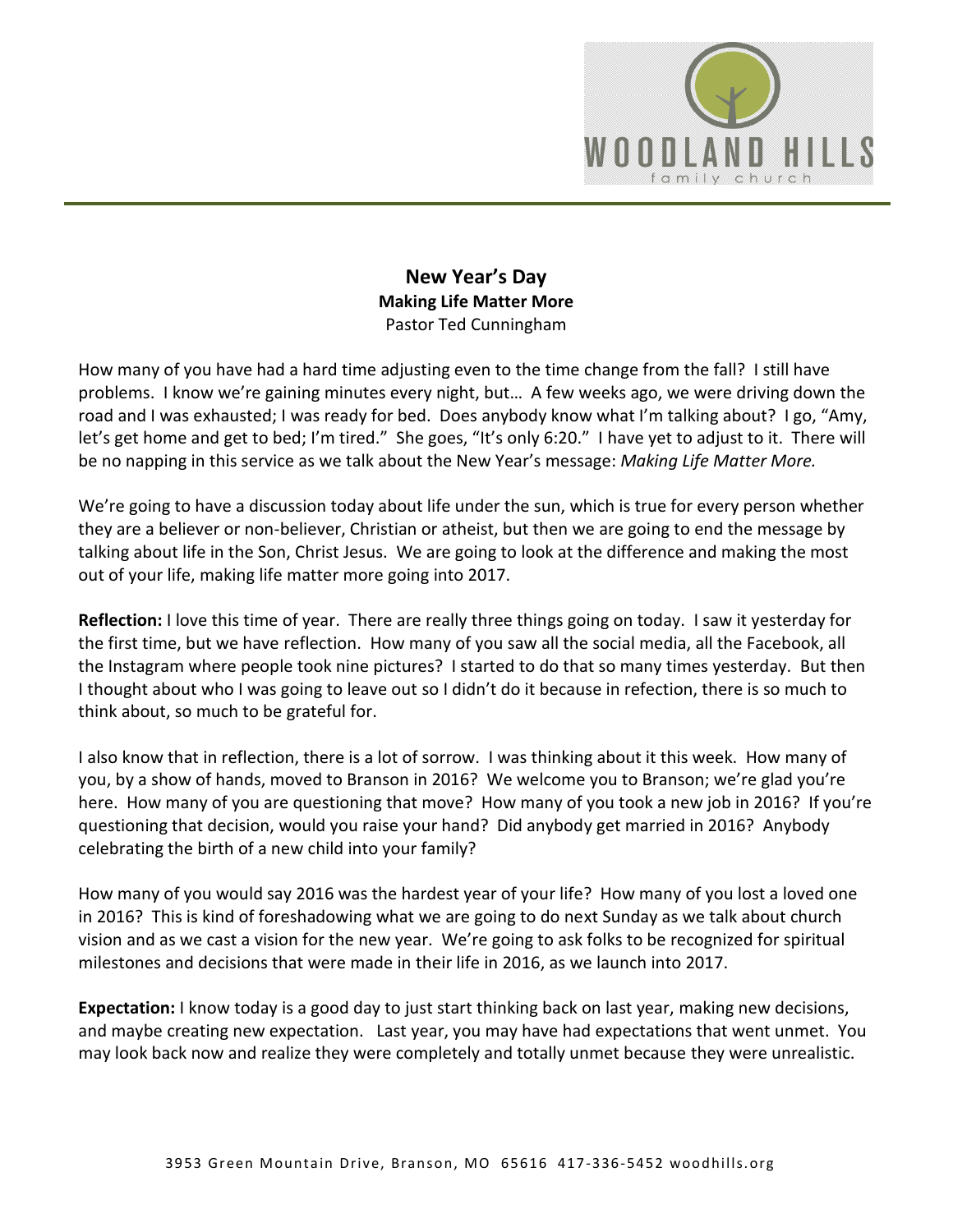

## **New Year's Day Making Life Matter More**  Pastor Ted Cunningham

How many of you have had a hard time adjusting even to the time change from the fall? I still have problems. I know we're gaining minutes every night, but… A few weeks ago, we were driving down the road and I was exhausted; I was ready for bed. Does anybody know what I'm talking about? I go, "Amy, let's get home and get to bed; I'm tired." She goes, "It's only 6:20." I have yet to adjust to it. There will be no napping in this service as we talk about the New Year's message: *Making Life Matter More.* 

We're going to have a discussion today about life under the sun, which is true for every person whether they are a believer or non-believer, Christian or atheist, but then we are going to end the message by talking about life in the Son, Christ Jesus. We are going to look at the difference and making the most out of your life, making life matter more going into 2017.

**Reflection:** I love this time of year. There are really three things going on today. I saw it yesterday for the first time, but we have reflection. How many of you saw all the social media, all the Facebook, all the Instagram where people took nine pictures? I started to do that so many times yesterday. But then I thought about who I was going to leave out so I didn't do it because in refection, there is so much to think about, so much to be grateful for.

I also know that in reflection, there is a lot of sorrow. I was thinking about it this week. How many of you, by a show of hands, moved to Branson in 2016? We welcome you to Branson; we're glad you're here. How many of you are questioning that move? How many of you took a new job in 2016? If you're questioning that decision, would you raise your hand? Did anybody get married in 2016? Anybody celebrating the birth of a new child into your family?

How many of you would say 2016 was the hardest year of your life? How many of you lost a loved one in 2016? This is kind of foreshadowing what we are going to do next Sunday as we talk about church vision and as we cast a vision for the new year. We're going to ask folks to be recognized for spiritual milestones and decisions that were made in their life in 2016, as we launch into 2017.

**Expectation:** I know today is a good day to just start thinking back on last year, making new decisions, and maybe creating new expectation. Last year, you may have had expectations that went unmet. You may look back now and realize they were completely and totally unmet because they were unrealistic.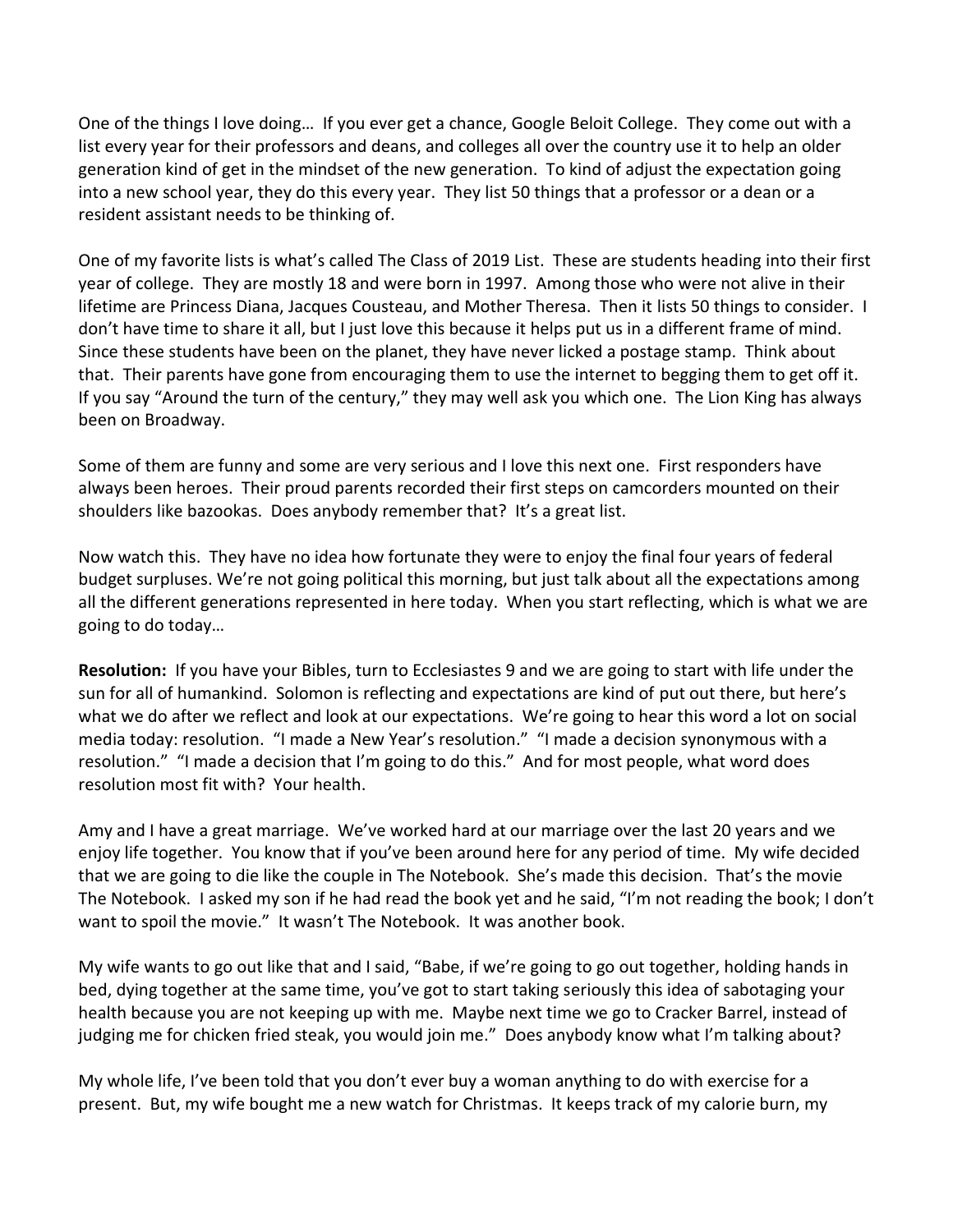One of the things I love doing… If you ever get a chance, Google Beloit College. They come out with a list every year for their professors and deans, and colleges all over the country use it to help an older generation kind of get in the mindset of the new generation. To kind of adjust the expectation going into a new school year, they do this every year. They list 50 things that a professor or a dean or a resident assistant needs to be thinking of.

One of my favorite lists is what's called The Class of 2019 List. These are students heading into their first year of college. They are mostly 18 and were born in 1997. Among those who were not alive in their lifetime are Princess Diana, Jacques Cousteau, and Mother Theresa. Then it lists 50 things to consider. I don't have time to share it all, but I just love this because it helps put us in a different frame of mind. Since these students have been on the planet, they have never licked a postage stamp. Think about that. Their parents have gone from encouraging them to use the internet to begging them to get off it. If you say "Around the turn of the century," they may well ask you which one. The Lion King has always been on Broadway.

Some of them are funny and some are very serious and I love this next one. First responders have always been heroes. Their proud parents recorded their first steps on camcorders mounted on their shoulders like bazookas. Does anybody remember that? It's a great list.

Now watch this. They have no idea how fortunate they were to enjoy the final four years of federal budget surpluses. We're not going political this morning, but just talk about all the expectations among all the different generations represented in here today. When you start reflecting, which is what we are going to do today…

**Resolution:** If you have your Bibles, turn to Ecclesiastes 9 and we are going to start with life under the sun for all of humankind. Solomon is reflecting and expectations are kind of put out there, but here's what we do after we reflect and look at our expectations. We're going to hear this word a lot on social media today: resolution. "I made a New Year's resolution." "I made a decision synonymous with a resolution." "I made a decision that I'm going to do this." And for most people, what word does resolution most fit with? Your health.

Amy and I have a great marriage. We've worked hard at our marriage over the last 20 years and we enjoy life together. You know that if you've been around here for any period of time. My wife decided that we are going to die like the couple in The Notebook. She's made this decision. That's the movie The Notebook. I asked my son if he had read the book yet and he said, "I'm not reading the book; I don't want to spoil the movie." It wasn't The Notebook. It was another book.

My wife wants to go out like that and I said, "Babe, if we're going to go out together, holding hands in bed, dying together at the same time, you've got to start taking seriously this idea of sabotaging your health because you are not keeping up with me. Maybe next time we go to Cracker Barrel, instead of judging me for chicken fried steak, you would join me." Does anybody know what I'm talking about?

My whole life, I've been told that you don't ever buy a woman anything to do with exercise for a present. But, my wife bought me a new watch for Christmas. It keeps track of my calorie burn, my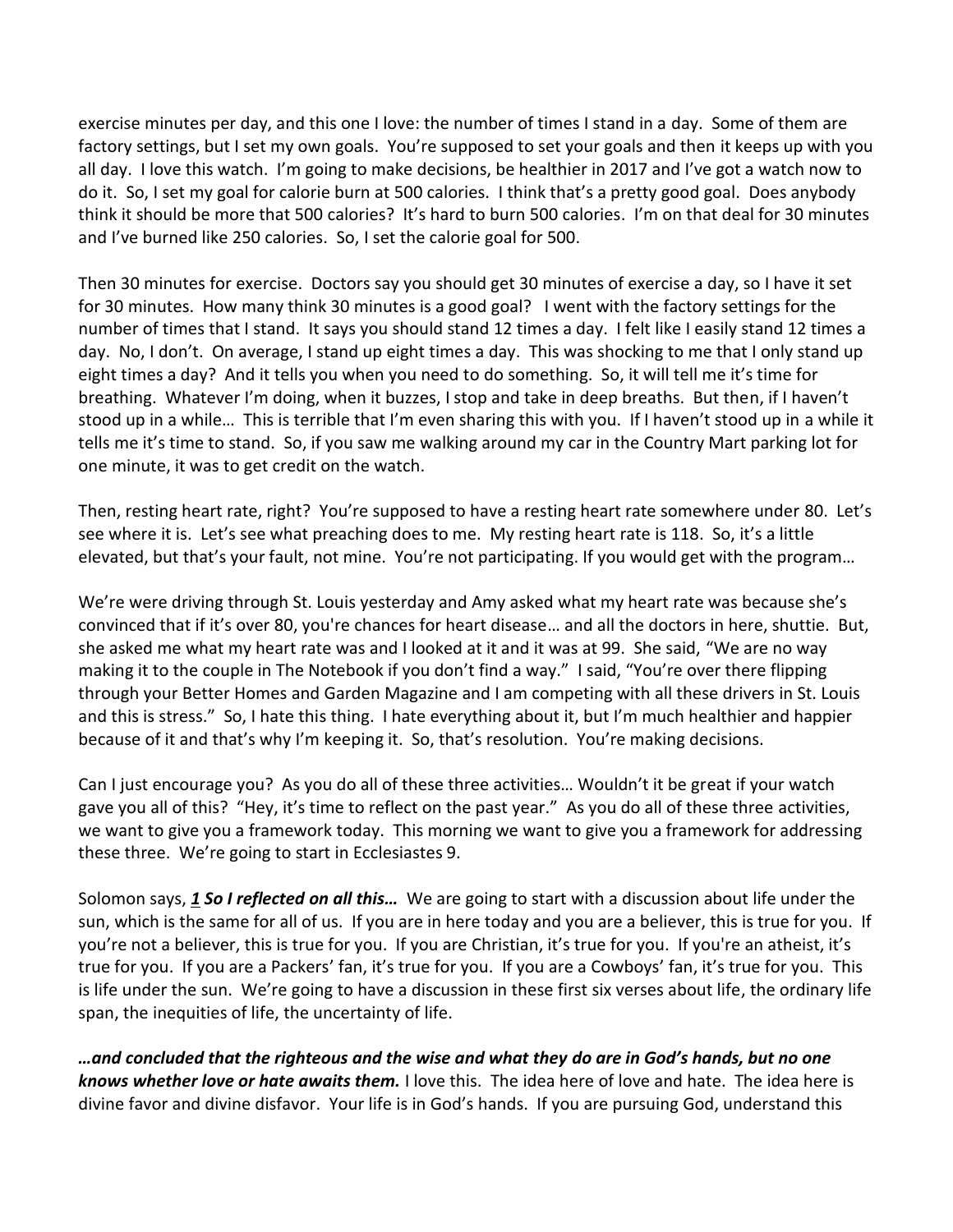exercise minutes per day, and this one I love: the number of times I stand in a day. Some of them are factory settings, but I set my own goals. You're supposed to set your goals and then it keeps up with you all day. I love this watch. I'm going to make decisions, be healthier in 2017 and I've got a watch now to do it. So, I set my goal for calorie burn at 500 calories. I think that's a pretty good goal. Does anybody think it should be more that 500 calories? It's hard to burn 500 calories. I'm on that deal for 30 minutes and I've burned like 250 calories. So, I set the calorie goal for 500.

Then 30 minutes for exercise. Doctors say you should get 30 minutes of exercise a day, so I have it set for 30 minutes. How many think 30 minutes is a good goal? I went with the factory settings for the number of times that I stand. It says you should stand 12 times a day. I felt like I easily stand 12 times a day. No, I don't. On average, I stand up eight times a day. This was shocking to me that I only stand up eight times a day? And it tells you when you need to do something. So, it will tell me it's time for breathing. Whatever I'm doing, when it buzzes, I stop and take in deep breaths. But then, if I haven't stood up in a while… This is terrible that I'm even sharing this with you. If I haven't stood up in a while it tells me it's time to stand. So, if you saw me walking around my car in the Country Mart parking lot for one minute, it was to get credit on the watch.

Then, resting heart rate, right? You're supposed to have a resting heart rate somewhere under 80. Let's see where it is. Let's see what preaching does to me. My resting heart rate is 118. So, it's a little elevated, but that's your fault, not mine. You're not participating. If you would get with the program…

We're were driving through St. Louis yesterday and Amy asked what my heart rate was because she's convinced that if it's over 80, you're chances for heart disease… and all the doctors in here, shuttie. But, she asked me what my heart rate was and I looked at it and it was at 99. She said, "We are no way making it to the couple in The Notebook if you don't find a way." I said, "You're over there flipping through your Better Homes and Garden Magazine and I am competing with all these drivers in St. Louis and this is stress." So, I hate this thing. I hate everything about it, but I'm much healthier and happier because of it and that's why I'm keeping it. So, that's resolution. You're making decisions.

Can I just encourage you? As you do all of these three activities… Wouldn't it be great if your watch gave you all of this? "Hey, it's time to reflect on the past year." As you do all of these three activities, we want to give you a framework today. This morning we want to give you a framework for addressing these three. We're going to start in Ecclesiastes 9.

Solomon says, *[1](http://www.studylight.org/desk/?q=ec%209:1&t1=en_niv&sr=1) So I reflected on all this…* We are going to start with a discussion about life under the sun, which is the same for all of us. If you are in here today and you are a believer, this is true for you. If you're not a believer, this is true for you. If you are Christian, it's true for you. If you're an atheist, it's true for you. If you are a Packers' fan, it's true for you. If you are a Cowboys' fan, it's true for you. This is life under the sun. We're going to have a discussion in these first six verses about life, the ordinary life span, the inequities of life, the uncertainty of life.

*…and concluded that the righteous and the wise and what they do are in God's hands, but no one knows whether love or hate awaits them.* I love this. The idea here of love and hate. The idea here is divine favor and divine disfavor. Your life is in God's hands. If you are pursuing God, understand this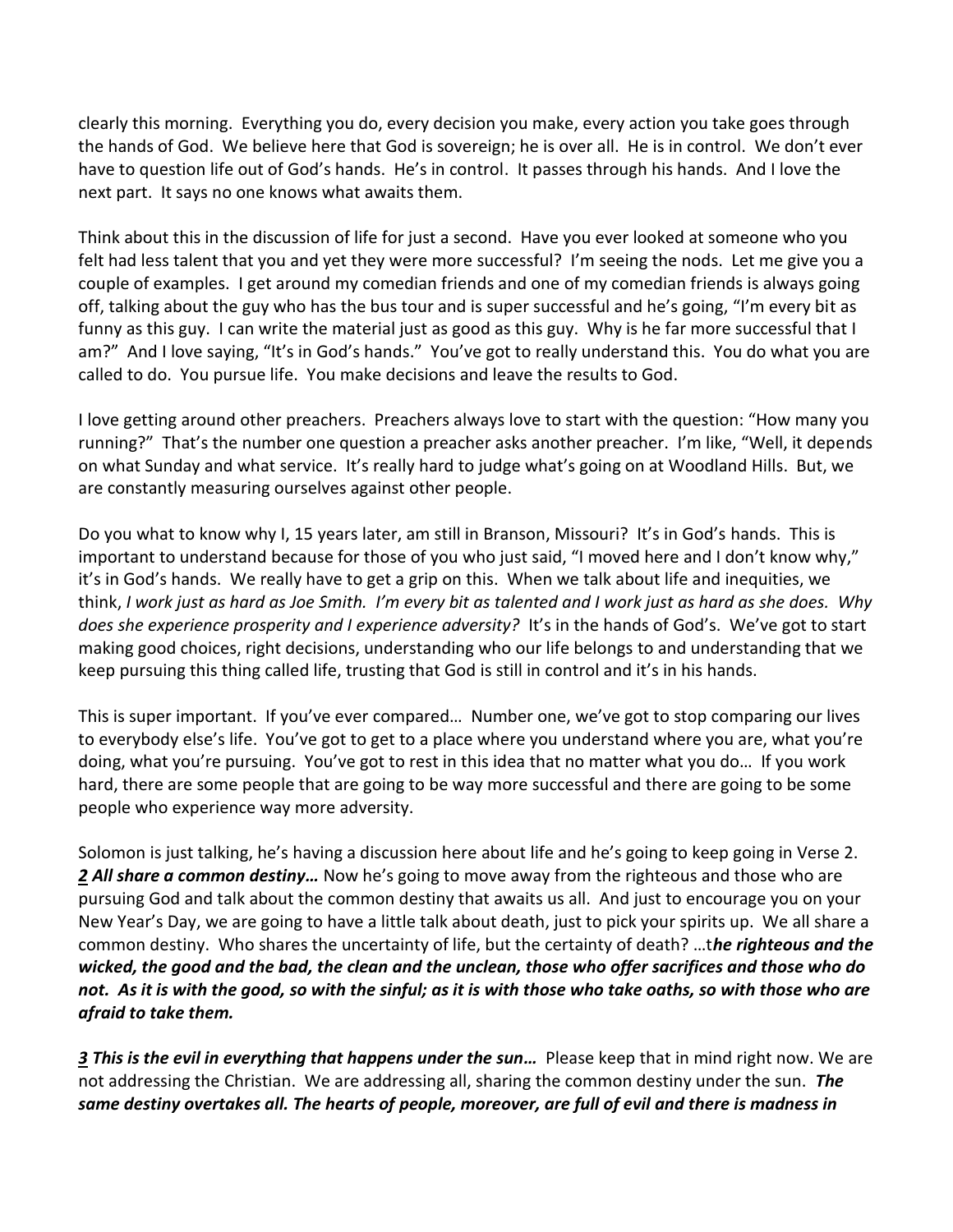clearly this morning. Everything you do, every decision you make, every action you take goes through the hands of God. We believe here that God is sovereign; he is over all. He is in control. We don't ever have to question life out of God's hands. He's in control. It passes through his hands. And I love the next part. It says no one knows what awaits them.

Think about this in the discussion of life for just a second. Have you ever looked at someone who you felt had less talent that you and yet they were more successful? I'm seeing the nods. Let me give you a couple of examples. I get around my comedian friends and one of my comedian friends is always going off, talking about the guy who has the bus tour and is super successful and he's going, "I'm every bit as funny as this guy. I can write the material just as good as this guy. Why is he far more successful that I am?" And I love saying, "It's in God's hands." You've got to really understand this. You do what you are called to do. You pursue life. You make decisions and leave the results to God.

I love getting around other preachers. Preachers always love to start with the question: "How many you running?" That's the number one question a preacher asks another preacher. I'm like, "Well, it depends on what Sunday and what service. It's really hard to judge what's going on at Woodland Hills. But, we are constantly measuring ourselves against other people.

Do you what to know why I, 15 years later, am still in Branson, Missouri? It's in God's hands. This is important to understand because for those of you who just said, "I moved here and I don't know why," it's in God's hands. We really have to get a grip on this. When we talk about life and inequities, we think, *I work just as hard as Joe Smith. I'm every bit as talented and I work just as hard as she does. Why does she experience prosperity and I experience adversity?* It's in the hands of God's. We've got to start making good choices, right decisions, understanding who our life belongs to and understanding that we keep pursuing this thing called life, trusting that God is still in control and it's in his hands.

This is super important. If you've ever compared… Number one, we've got to stop comparing our lives to everybody else's life. You've got to get to a place where you understand where you are, what you're doing, what you're pursuing. You've got to rest in this idea that no matter what you do… If you work hard, there are some people that are going to be way more successful and there are going to be some people who experience way more adversity.

Solomon is just talking, he's having a discussion here about life and he's going to keep going in Verse 2. *[2](http://www.studylight.org/desk/?q=ec%209:2&t1=en_niv&sr=1) All share a common destiny…* Now he's going to move away from the righteous and those who are pursuing God and talk about the common destiny that awaits us all. And just to encourage you on your New Year's Day, we are going to have a little talk about death, just to pick your spirits up. We all share a common destiny. Who shares the uncertainty of life, but the certainty of death? …t*he righteous and the wicked, the good and the bad, the clean and the unclean, those who offer sacrifices and those who do not. As it is with the good, so with the sinful; as it is with those who take oaths, so with those who are afraid to take them.* 

*[3](http://www.studylight.org/desk/?q=ec%209:3&t1=en_niv&sr=1) This is the evil in everything that happens under the sun…* Please keep that in mind right now. We are not addressing the Christian. We are addressing all, sharing the common destiny under the sun. *The same destiny overtakes all. The hearts of people, moreover, are full of evil and there is madness in*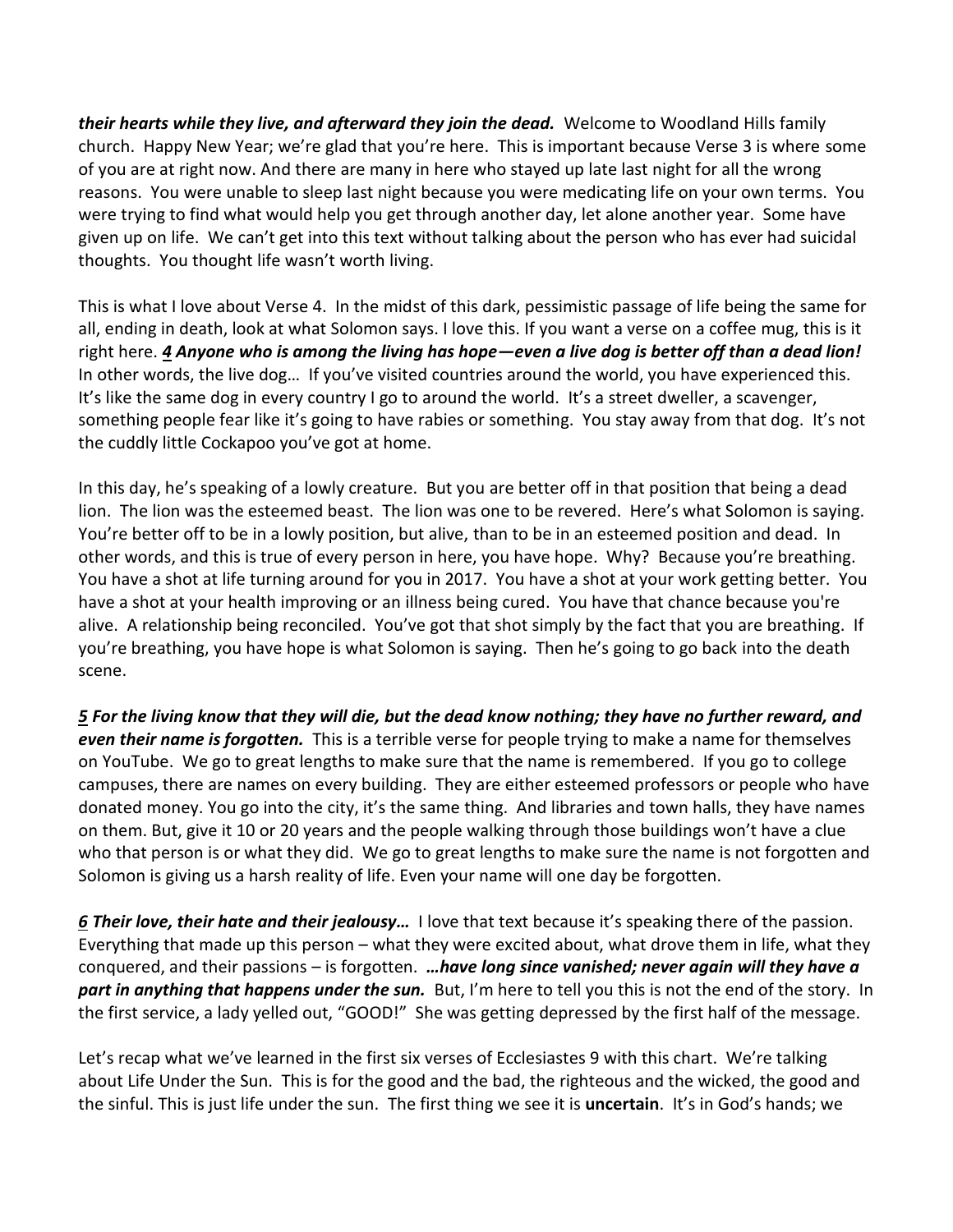*their hearts while they live, and afterward they join the dead.* Welcome to Woodland Hills family church. Happy New Year; we're glad that you're here. This is important because Verse 3 is where some of you are at right now. And there are many in here who stayed up late last night for all the wrong reasons. You were unable to sleep last night because you were medicating life on your own terms. You were trying to find what would help you get through another day, let alone another year. Some have given up on life. We can't get into this text without talking about the person who has ever had suicidal thoughts. You thought life wasn't worth living.

This is what I love about Verse 4. In the midst of this dark, pessimistic passage of life being the same for all, ending in death, look at what Solomon says. I love this. If you want a verse on a coffee mug, this is it right here. *[4](http://www.studylight.org/desk/?q=ec%209:4&t1=en_niv&sr=1) Anyone who is among the living has hope—even a live dog is better off than a dead lion!* In other words, the live dog… If you've visited countries around the world, you have experienced this. It's like the same dog in every country I go to around the world. It's a street dweller, a scavenger, something people fear like it's going to have rabies or something. You stay away from that dog. It's not the cuddly little Cockapoo you've got at home.

In this day, he's speaking of a lowly creature. But you are better off in that position that being a dead lion. The lion was the esteemed beast. The lion was one to be revered. Here's what Solomon is saying. You're better off to be in a lowly position, but alive, than to be in an esteemed position and dead. In other words, and this is true of every person in here, you have hope. Why? Because you're breathing. You have a shot at life turning around for you in 2017. You have a shot at your work getting better. You have a shot at your health improving or an illness being cured. You have that chance because you're alive. A relationship being reconciled. You've got that shot simply by the fact that you are breathing. If you're breathing, you have hope is what Solomon is saying. Then he's going to go back into the death scene.

*[5](http://www.studylight.org/desk/?q=ec%209:5&t1=en_niv&sr=1) For the living know that they will die, but the dead know nothing; they have no further reward, and even their name is forgotten.* This is a terrible verse for people trying to make a name for themselves on YouTube. We go to great lengths to make sure that the name is remembered. If you go to college campuses, there are names on every building. They are either esteemed professors or people who have donated money. You go into the city, it's the same thing. And libraries and town halls, they have names on them. But, give it 10 or 20 years and the people walking through those buildings won't have a clue who that person is or what they did. We go to great lengths to make sure the name is not forgotten and Solomon is giving us a harsh reality of life. Even your name will one day be forgotten.

*[6](http://www.studylight.org/desk/?q=ec%209:6&t1=en_niv&sr=1) Their love, their hate and their jealousy…* I love that text because it's speaking there of the passion. Everything that made up this person – what they were excited about, what drove them in life, what they conquered, and their passions – is forgotten. *…have long since vanished; never again will they have a part in anything that happens under the sun.* But, I'm here to tell you this is not the end of the story. In the first service, a lady yelled out, "GOOD!" She was getting depressed by the first half of the message.

Let's recap what we've learned in the first six verses of Ecclesiastes 9 with this chart. We're talking about Life Under the Sun. This is for the good and the bad, the righteous and the wicked, the good and the sinful. This is just life under the sun. The first thing we see it is **uncertain**. It's in God's hands; we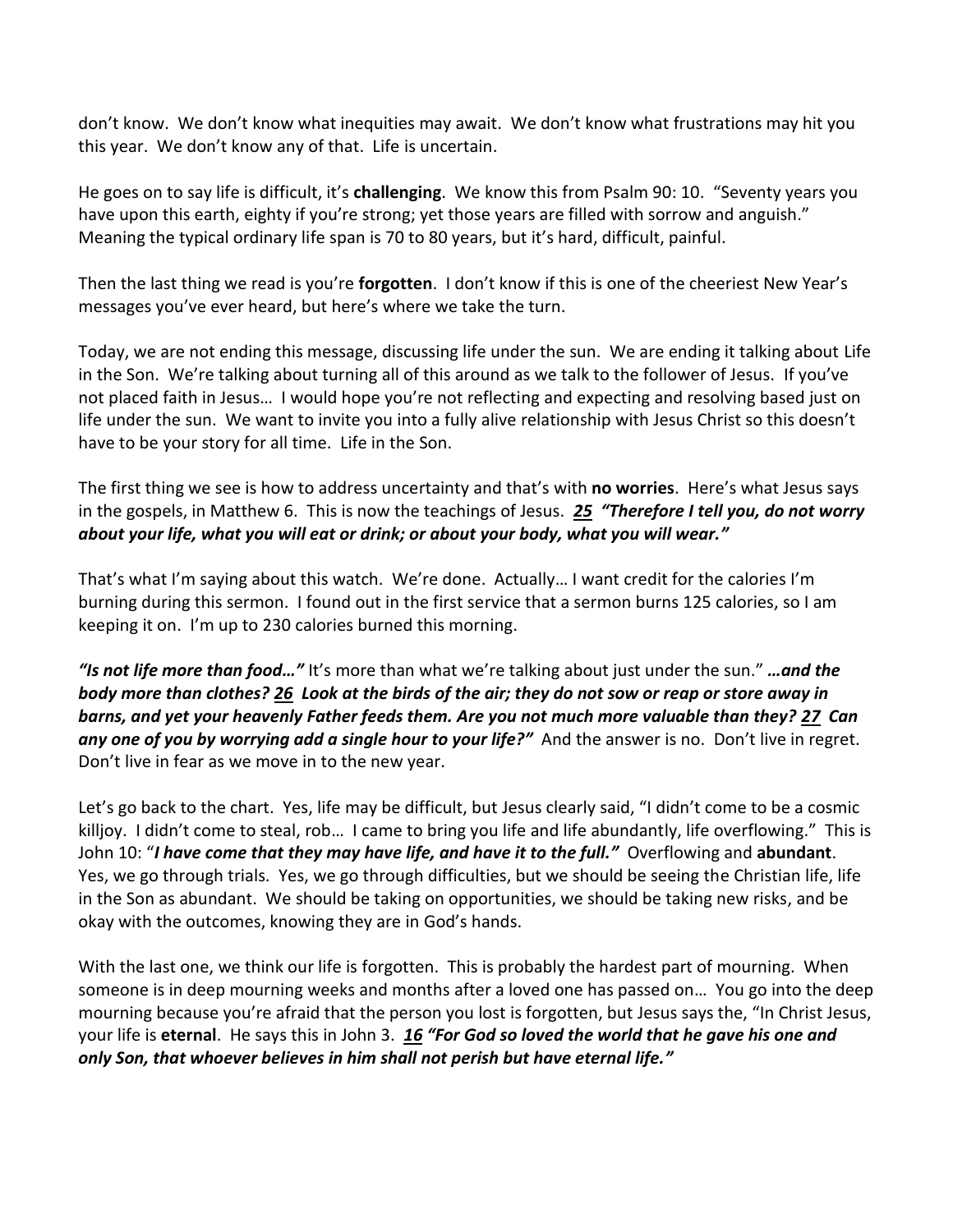don't know. We don't know what inequities may await. We don't know what frustrations may hit you this year. We don't know any of that. Life is uncertain.

He goes on to say life is difficult, it's **challenging**. We know this from Psalm 90: 10. "Seventy years you have upon this earth, eighty if you're strong; yet those years are filled with sorrow and anguish." Meaning the typical ordinary life span is 70 to 80 years, but it's hard, difficult, painful.

Then the last thing we read is you're **forgotten**. I don't know if this is one of the cheeriest New Year's messages you've ever heard, but here's where we take the turn.

Today, we are not ending this message, discussing life under the sun. We are ending it talking about Life in the Son. We're talking about turning all of this around as we talk to the follower of Jesus. If you've not placed faith in Jesus… I would hope you're not reflecting and expecting and resolving based just on life under the sun. We want to invite you into a fully alive relationship with Jesus Christ so this doesn't have to be your story for all time. Life in the Son.

The first thing we see is how to address uncertainty and that's with **no worries**. Here's what Jesus says in the gospels, in Matthew 6. This is now the teachings of Jesus. *[25](http://www.studylight.org/desk/?q=mt%206:25&t1=en_niv&sr=1) "Therefore I tell you, do not worry about your life, what you will eat or drink; or about your body, what you will wear."*

That's what I'm saying about this watch. We're done. Actually… I want credit for the calories I'm burning during this sermon. I found out in the first service that a sermon burns 125 calories, so I am keeping it on. I'm up to 230 calories burned this morning.

*"Is not life more than food…"* It's more than what we're talking about just under the sun." *…and the body more than clothes? [26](http://www.studylight.org/desk/?q=mt%206:26&t1=en_niv&sr=1) Look at the birds of the air; they do not sow or reap or store away in barns, and yet your heavenly Father feeds them. Are you not much more valuable than they? [27](http://www.studylight.org/desk/?q=mt%206:27&t1=en_niv&sr=1) Can*  any one of you by worrying add a single hour to your life?" And the answer is no. Don't live in regret. Don't live in fear as we move in to the new year.

Let's go back to the chart. Yes, life may be difficult, but Jesus clearly said, "I didn't come to be a cosmic killjoy. I didn't come to steal, rob… I came to bring you life and life abundantly, life overflowing." This is John 10: "*I have come that they may have life, and have it to the full."* Overflowing and **abundant**. Yes, we go through trials. Yes, we go through difficulties, but we should be seeing the Christian life, life in the Son as abundant. We should be taking on opportunities, we should be taking new risks, and be okay with the outcomes, knowing they are in God's hands.

With the last one, we think our life is forgotten. This is probably the hardest part of mourning. When someone is in deep mourning weeks and months after a loved one has passed on… You go into the deep mourning because you're afraid that the person you lost is forgotten, but Jesus says the, "In Christ Jesus, your life is **eternal**. He says this in John 3. *[16](http://www.studylight.org/desk/?q=joh%203:16&t1=en_niv&sr=1) "For God so loved the world that he gave his one and only Son, that whoever believes in him shall not perish but have eternal life."*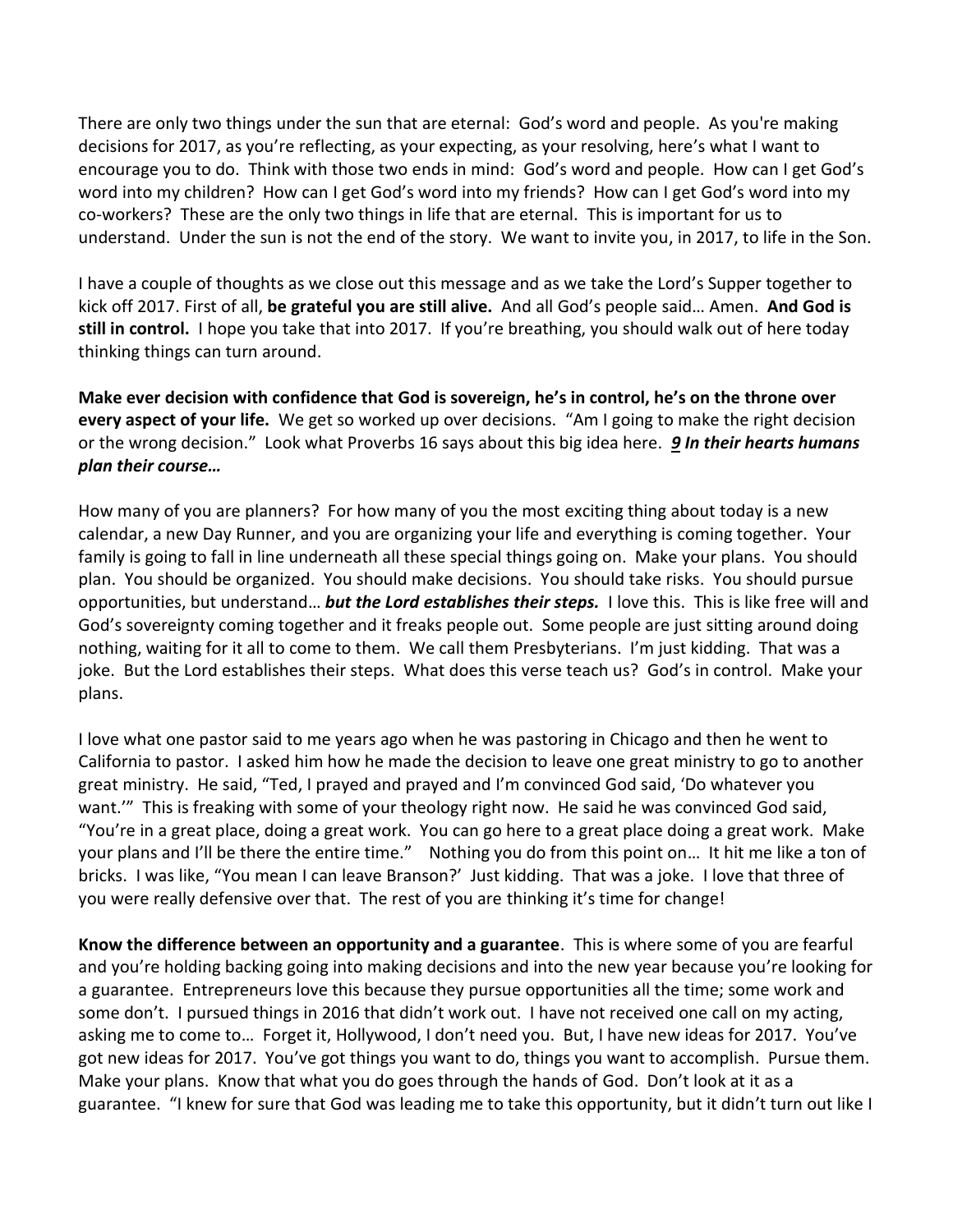There are only two things under the sun that are eternal: God's word and people. As you're making decisions for 2017, as you're reflecting, as your expecting, as your resolving, here's what I want to encourage you to do. Think with those two ends in mind: God's word and people. How can I get God's word into my children? How can I get God's word into my friends? How can I get God's word into my co-workers? These are the only two things in life that are eternal. This is important for us to understand. Under the sun is not the end of the story. We want to invite you, in 2017, to life in the Son.

I have a couple of thoughts as we close out this message and as we take the Lord's Supper together to kick off 2017. First of all, **be grateful you are still alive.** And all God's people said… Amen. **And God is still in control.** I hope you take that into 2017. If you're breathing, you should walk out of here today thinking things can turn around.

**Make ever decision with confidence that God is sovereign, he's in control, he's on the throne over every aspect of your life.** We get so worked up over decisions. "Am I going to make the right decision or the wrong decision." Look what Proverbs 16 says about this big idea here. *[9](http://www.studylight.org/desk/?q=pr%2016:9&t1=en_niv&sr=1) In their hearts humans plan their course…*

How many of you are planners? For how many of you the most exciting thing about today is a new calendar, a new Day Runner, and you are organizing your life and everything is coming together. Your family is going to fall in line underneath all these special things going on. Make your plans. You should plan. You should be organized. You should make decisions. You should take risks. You should pursue opportunities, but understand… *but the Lord establishes their steps.* I love this. This is like free will and God's sovereignty coming together and it freaks people out. Some people are just sitting around doing nothing, waiting for it all to come to them. We call them Presbyterians. I'm just kidding. That was a joke. But the Lord establishes their steps. What does this verse teach us? God's in control. Make your plans.

I love what one pastor said to me years ago when he was pastoring in Chicago and then he went to California to pastor. I asked him how he made the decision to leave one great ministry to go to another great ministry. He said, "Ted, I prayed and prayed and I'm convinced God said, 'Do whatever you want.'" This is freaking with some of your theology right now. He said he was convinced God said, "You're in a great place, doing a great work. You can go here to a great place doing a great work. Make your plans and I'll be there the entire time." Nothing you do from this point on… It hit me like a ton of bricks. I was like, "You mean I can leave Branson?' Just kidding. That was a joke. I love that three of you were really defensive over that. The rest of you are thinking it's time for change!

**Know the difference between an opportunity and a guarantee**. This is where some of you are fearful and you're holding backing going into making decisions and into the new year because you're looking for a guarantee. Entrepreneurs love this because they pursue opportunities all the time; some work and some don't. I pursued things in 2016 that didn't work out. I have not received one call on my acting, asking me to come to… Forget it, Hollywood, I don't need you. But, I have new ideas for 2017. You've got new ideas for 2017. You've got things you want to do, things you want to accomplish. Pursue them. Make your plans. Know that what you do goes through the hands of God. Don't look at it as a guarantee. "I knew for sure that God was leading me to take this opportunity, but it didn't turn out like I